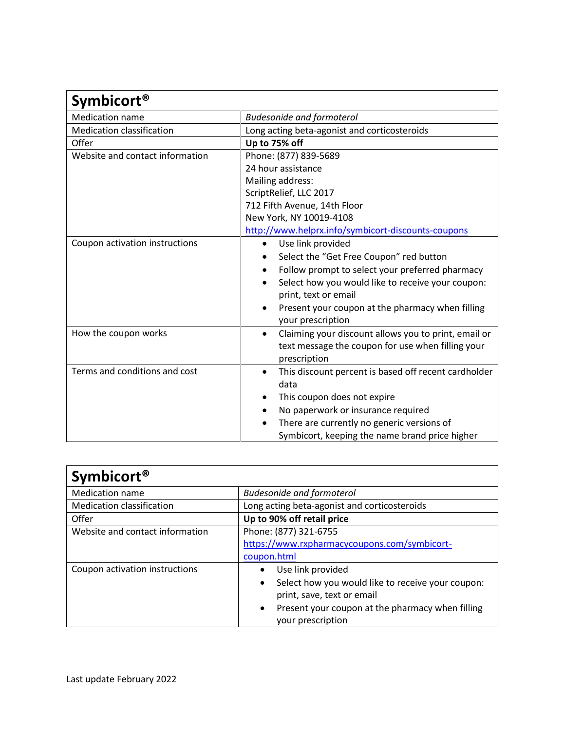| <b>Symbicort<sup>®</sup></b>     |                                                                   |
|----------------------------------|-------------------------------------------------------------------|
| <b>Medication name</b>           | <b>Budesonide and formoterol</b>                                  |
| <b>Medication classification</b> | Long acting beta-agonist and corticosteroids                      |
| Offer                            | Up to 75% off                                                     |
| Website and contact information  | Phone: (877) 839-5689                                             |
|                                  | 24 hour assistance                                                |
|                                  | Mailing address:                                                  |
|                                  | ScriptRelief, LLC 2017                                            |
|                                  | 712 Fifth Avenue, 14th Floor                                      |
|                                  | New York, NY 10019-4108                                           |
|                                  | http://www.helprx.info/symbicort-discounts-coupons                |
| Coupon activation instructions   | Use link provided<br>$\bullet$                                    |
|                                  | Select the "Get Free Coupon" red button                           |
|                                  | Follow prompt to select your preferred pharmacy                   |
|                                  | Select how you would like to receive your coupon:                 |
|                                  | print, text or email                                              |
|                                  | Present your coupon at the pharmacy when filling                  |
|                                  | your prescription                                                 |
| How the coupon works             | Claiming your discount allows you to print, email or<br>$\bullet$ |
|                                  | text message the coupon for use when filling your                 |
|                                  | prescription                                                      |
| Terms and conditions and cost    | This discount percent is based off recent cardholder<br>$\bullet$ |
|                                  | data                                                              |
|                                  | This coupon does not expire                                       |
|                                  | No paperwork or insurance required                                |
|                                  | There are currently no generic versions of                        |
|                                  | Symbicort, keeping the name brand price higher                    |

| <b>Symbicort<sup>®</sup></b>     |                                                                                                                                                                                                         |
|----------------------------------|---------------------------------------------------------------------------------------------------------------------------------------------------------------------------------------------------------|
| <b>Medication name</b>           | <b>Budesonide and formoterol</b>                                                                                                                                                                        |
| <b>Medication classification</b> | Long acting beta-agonist and corticosteroids                                                                                                                                                            |
| Offer                            | Up to 90% off retail price                                                                                                                                                                              |
| Website and contact information  | Phone: (877) 321-6755<br>https://www.rxpharmacycoupons.com/symbicort-<br>coupon.html                                                                                                                    |
| Coupon activation instructions   | Use link provided<br>Select how you would like to receive your coupon:<br>$\bullet$<br>print, save, text or email<br>Present your coupon at the pharmacy when filling<br>$\bullet$<br>your prescription |